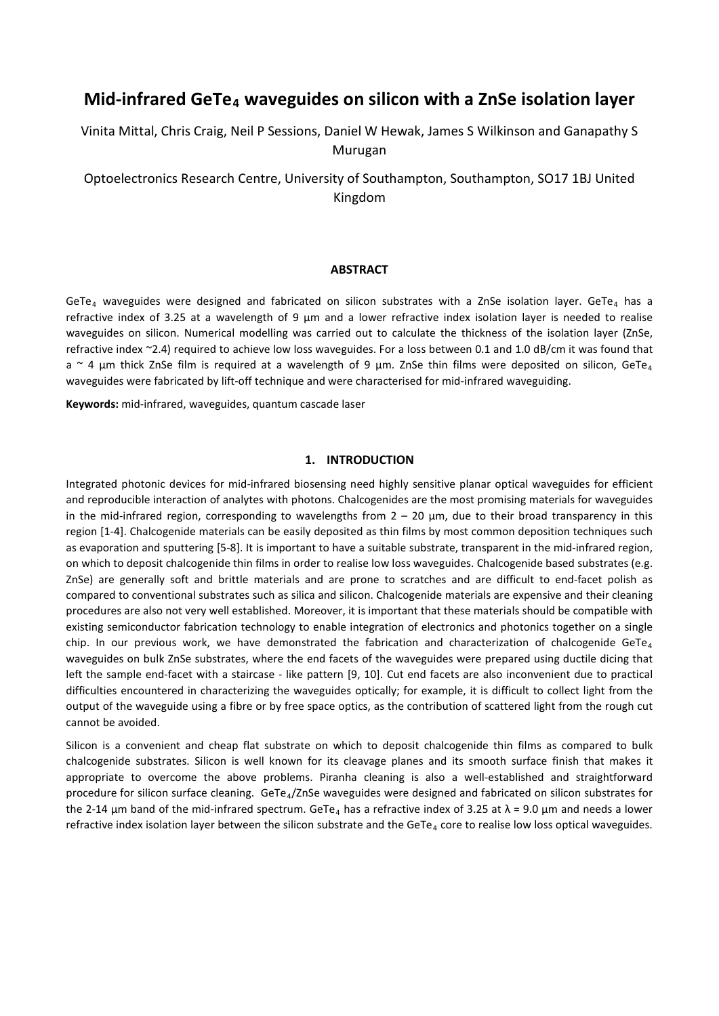# **Mid-infrared GeTe4 waveguides on silicon with a ZnSe isolation layer**

Vinita Mittal, Chris Craig, Neil P Sessions, Daniel W Hewak, James S Wilkinson and Ganapathy S Murugan

Optoelectronics Research Centre, University of Southampton, Southampton, SO17 1BJ United Kingdom

### **ABSTRACT**

GeTe<sub>4</sub> waveguides were designed and fabricated on silicon substrates with a ZnSe isolation layer. GeTe<sub>4</sub> has a refractive index of 3.25 at a wavelength of 9  $\mu$ m and a lower refractive index isolation layer is needed to realise waveguides on silicon. Numerical modelling was carried out to calculate the thickness of the isolation layer (ZnSe, refractive index ~2.4) required to achieve low loss waveguides. For a loss between 0.1 and 1.0 dB/cm it was found that a  $\sim$  4 µm thick ZnSe film is required at a wavelength of 9 µm. ZnSe thin films were deposited on silicon, GeTe<sub>4</sub> waveguides were fabricated by lift-off technique and were characterised for mid-infrared waveguiding.

**Keywords:** mid-infrared, waveguides, quantum cascade laser

## **1. INTRODUCTION**

Integrated photonic devices for mid-infrared biosensing need highly sensitive planar optical waveguides for efficient and reproducible interaction of analytes with photons. Chalcogenides are the most promising materials for waveguides in the mid-infrared region, corresponding to wavelengths from  $2 - 20 \mu m$ , due to their broad transparency in this region [1-4]. Chalcogenide materials can be easily deposited as thin films by most common deposition techniques such as evaporation and sputtering [5-8]. It is important to have a suitable substrate, transparent in the mid-infrared region, on which to deposit chalcogenide thin films in order to realise low loss waveguides. Chalcogenide based substrates (e.g. ZnSe) are generally soft and brittle materials and are prone to scratches and are difficult to end-facet polish as compared to conventional substrates such as silica and silicon. Chalcogenide materials are expensive and their cleaning procedures are also not very well established. Moreover, it is important that these materials should be compatible with existing semiconductor fabrication technology to enable integration of electronics and photonics together on a single chip. In our previous work, we have demonstrated the fabrication and characterization of chalcogenide GeTe<sub>4</sub> waveguides on bulk ZnSe substrates, where the end facets of the waveguides were prepared using ductile dicing that left the sample end-facet with a staircase - like pattern [9, 10]. Cut end facets are also inconvenient due to practical difficulties encountered in characterizing the waveguides optically; for example, it is difficult to collect light from the output of the waveguide using a fibre or by free space optics, as the contribution of scattered light from the rough cut cannot be avoided.

Silicon is a convenient and cheap flat substrate on which to deposit chalcogenide thin films as compared to bulk chalcogenide substrates. Silicon is well known for its cleavage planes and its smooth surface finish that makes it appropriate to overcome the above problems. Piranha cleaning is also a well-established and straightforward procedure for silicon surface cleaning. GeTe<sub>4</sub>/ZnSe waveguides were designed and fabricated on silicon substrates for the 2-14 µm band of the mid-infrared spectrum. GeTe<sub>4</sub> has a refractive index of 3.25 at  $\lambda$  = 9.0 µm and needs a lower refractive index isolation layer between the silicon substrate and the GeTe<sub>4</sub> core to realise low loss optical waveguides.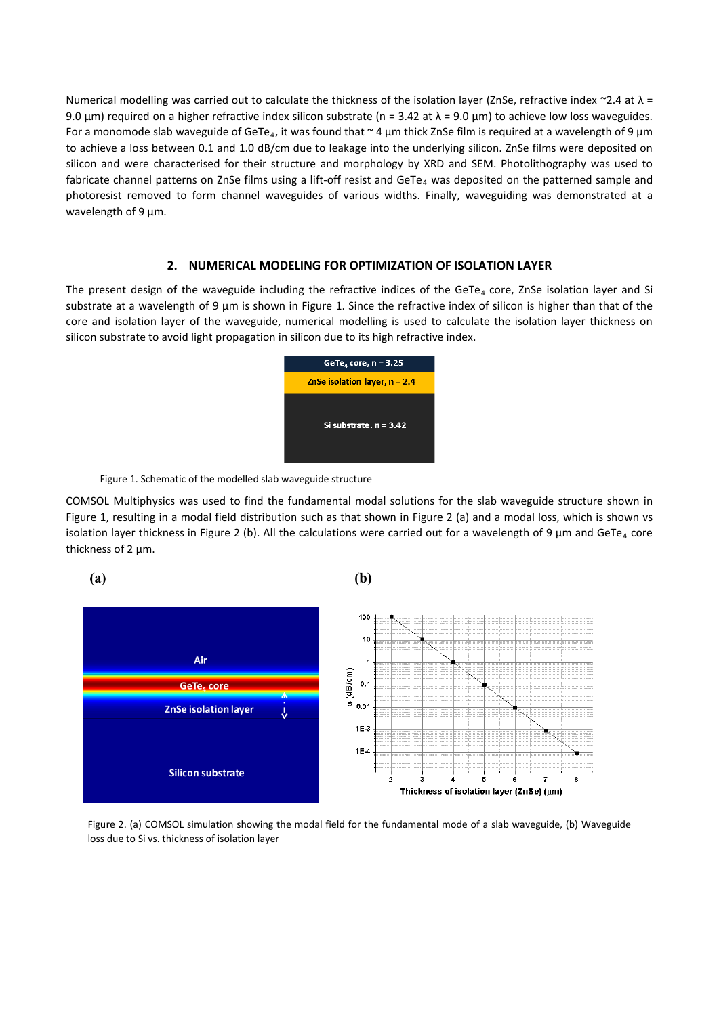Numerical modelling was carried out to calculate the thickness of the isolation layer (ZnSe, refractive index ~2.4 at  $\lambda$  = 9.0 µm) required on a higher refractive index silicon substrate (n = 3.42 at  $\lambda$  = 9.0 µm) to achieve low loss waveguides. For a monomode slab waveguide of GeTe<sub>4</sub>, it was found that  $\sim$  4 µm thick ZnSe film is required at a wavelength of 9 µm to achieve a loss between 0.1 and 1.0 dB/cm due to leakage into the underlying silicon. ZnSe films were deposited on silicon and were characterised for their structure and morphology by XRD and SEM. Photolithography was used to fabricate channel patterns on ZnSe films using a lift-off resist and GeTe<sub>4</sub> was deposited on the patterned sample and photoresist removed to form channel waveguides of various widths. Finally, waveguiding was demonstrated at a wavelength of 9  $\mu$ m.

## **2. NUMERICAL MODELING FOR OPTIMIZATION OF ISOLATION LAYER**

The present design of the waveguide including the refractive indices of the GeTe<sub>4</sub> core, ZnSe isolation layer and Si substrate at a wavelength of 9 µm is shown in Figure 1. Since the refractive index of silicon is higher than that of the core and isolation layer of the waveguide, numerical modelling is used to calculate the isolation layer thickness on silicon substrate to avoid light propagation in silicon due to its high refractive index.



Figure 1. Schematic of the modelled slab waveguide structure

COMSOL Multiphysics was used to find the fundamental modal solutions for the slab waveguide structure shown in Figure 1, resulting in a modal field distribution such as that shown in Figure 2 (a) and a modal loss, which is shown vs isolation layer thickness in Figure 2 (b). All the calculations were carried out for a wavelength of 9  $\mu$ m and GeTe<sub>4</sub> core thickness of 2 um.



Figure 2. (a) COMSOL simulation showing the modal field for the fundamental mode of a slab waveguide, (b) Waveguide loss due to Si vs. thickness of isolation layer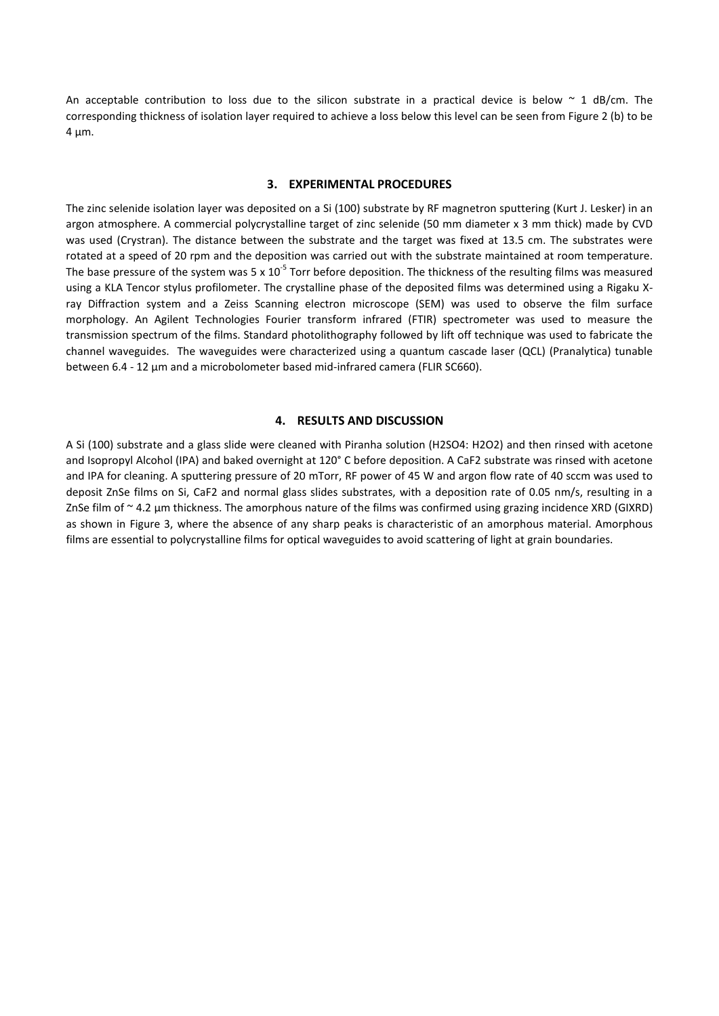An acceptable contribution to loss due to the silicon substrate in a practical device is below  $\sim$  1 dB/cm. The corresponding thickness of isolation layer required to achieve a loss below this level can be seen from Figure 2 (b) to be  $4 \mu m$ .

### **3. EXPERIMENTAL PROCEDURES**

The zinc selenide isolation layer was deposited on a Si (100) substrate by RF magnetron sputtering (Kurt J. Lesker) in an argon atmosphere. A commercial polycrystalline target of zinc selenide (50 mm diameter x 3 mm thick) made by CVD was used (Crystran). The distance between the substrate and the target was fixed at 13.5 cm. The substrates were rotated at a speed of 20 rpm and the deposition was carried out with the substrate maintained at room temperature. The base pressure of the system was 5 x  $10^{-5}$  Torr before deposition. The thickness of the resulting films was measured using a KLA Tencor stylus profilometer. The crystalline phase of the deposited films was determined using a Rigaku Xray Diffraction system and a Zeiss Scanning electron microscope (SEM) was used to observe the film surface morphology. An Agilent Technologies Fourier transform infrared (FTIR) spectrometer was used to measure the transmission spectrum of the films. Standard photolithography followed by lift off technique was used to fabricate the channel waveguides. The waveguides were characterized using a quantum cascade laser (QCL) (Pranalytica) tunable between 6.4 - 12 μm and a microbolometer based mid-infrared camera (FLIR SC660).

### **4. RESULTS AND DISCUSSION**

A Si (100) substrate and a glass slide were cleaned with Piranha solution (H2SO4: H2O2) and then rinsed with acetone and Isopropyl Alcohol (IPA) and baked overnight at 120° C before deposition. A CaF2 substrate was rinsed with acetone and IPA for cleaning. A sputtering pressure of 20 mTorr, RF power of 45 W and argon flow rate of 40 sccm was used to deposit ZnSe films on Si, CaF2 and normal glass slides substrates, with a deposition rate of 0.05 nm/s, resulting in a ZnSe film of ~ 4.2 µm thickness. The amorphous nature of the films was confirmed using grazing incidence XRD (GIXRD) as shown in Figure 3, where the absence of any sharp peaks is characteristic of an amorphous material. Amorphous films are essential to polycrystalline films for optical waveguides to avoid scattering of light at grain boundaries.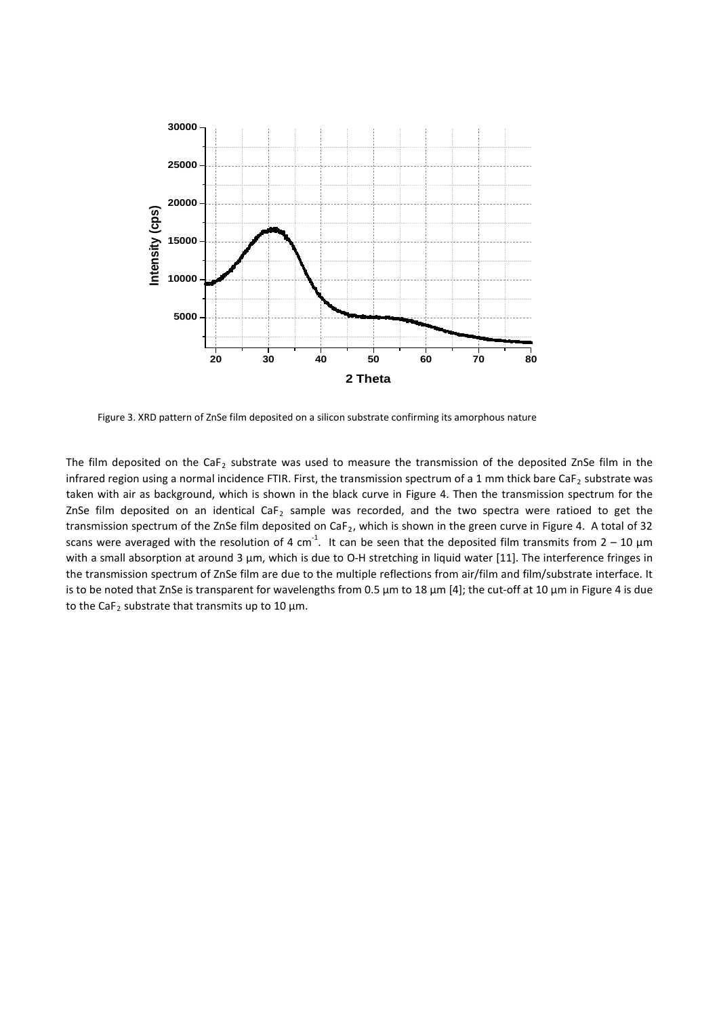

Figure 3. XRD pattern of ZnSe film deposited on a silicon substrate confirming its amorphous nature

The film deposited on the CaF<sub>2</sub> substrate was used to measure the transmission of the deposited ZnSe film in the infrared region using a normal incidence FTIR. First, the transmission spectrum of a 1 mm thick bare CaF<sub>2</sub> substrate was taken with air as background, which is shown in the black curve in Figure 4. Then the transmission spectrum for the ZnSe film deposited on an identical CaF<sub>2</sub> sample was recorded, and the two spectra were ratioed to get the transmission spectrum of the ZnSe film deposited on CaF<sub>2</sub>, which is shown in the green curve in Figure 4. A total of 32 scans were averaged with the resolution of 4 cm<sup>-1</sup>. It can be seen that the deposited film transmits from 2 – 10  $\mu$ m with a small absorption at around 3 μm, which is due to O-H stretching in liquid water [11]. The interference fringes in the transmission spectrum of ZnSe film are due to the multiple reflections from air/film and film/substrate interface. It is to be noted that ZnSe is transparent for wavelengths from 0.5 µm to 18 μm [4]; the cut-off at 10 μm in Figure 4 is due to the CaF<sub>2</sub> substrate that transmits up to 10  $\mu$ m.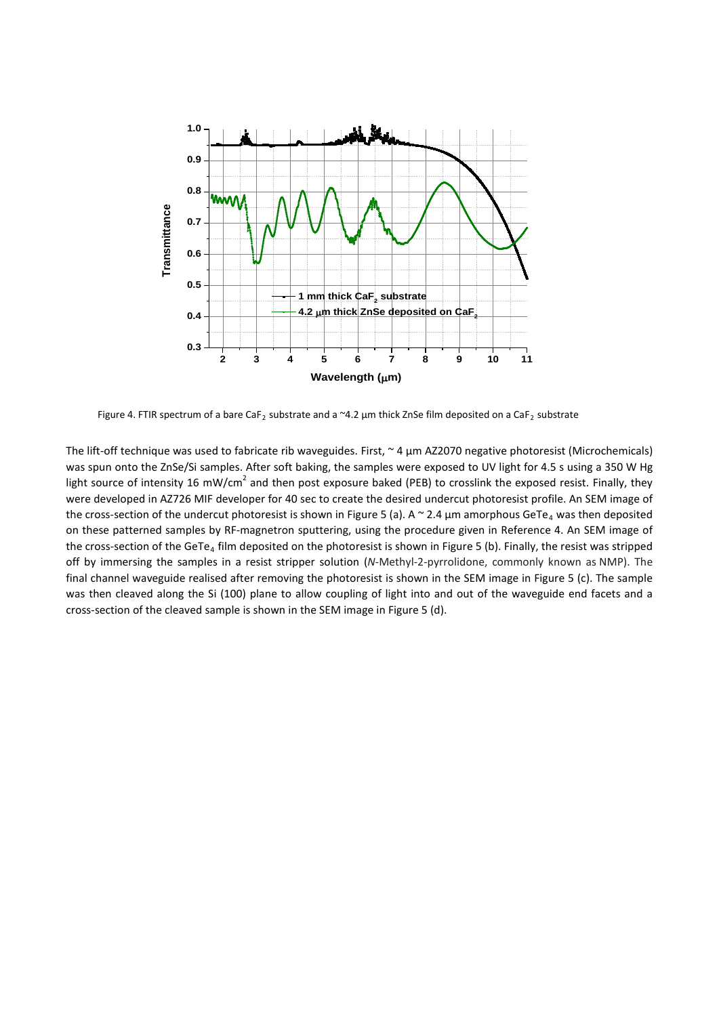

Figure 4. FTIR spectrum of a bare CaF<sub>2</sub> substrate and a ~4.2 µm thick ZnSe film deposited on a CaF<sub>2</sub> substrate

The lift-off technique was used to fabricate rib waveguides. First,  $\sim$  4  $\mu$ m AZ2070 negative photoresist (Microchemicals) was spun onto the ZnSe/Si samples. After soft baking, the samples were exposed to UV light for 4.5 s using a 350 W Hg light source of intensity 16 mW/cm<sup>2</sup> and then post exposure baked (PEB) to crosslink the exposed resist. Finally, they were developed in AZ726 MIF developer for 40 sec to create the desired undercut photoresist profile. An SEM image of the cross-section of the undercut photoresist is shown in Figure 5 (a). A  $\sim$  2.4  $\mu$ m amorphous GeTe<sub>4</sub> was then deposited on these patterned samples by RF-magnetron sputtering, using the procedure given in Reference 4. An SEM image of the cross-section of the GeTe<sub>4</sub> film deposited on the photoresist is shown in Figure 5 (b). Finally, the resist was stripped off by immersing the samples in a resist stripper solution (*N*-Methyl-2-pyrrolidone, commonly known as NMP). The final channel waveguide realised after removing the photoresist is shown in the SEM image in Figure 5 (c). The sample was then cleaved along the Si (100) plane to allow coupling of light into and out of the waveguide end facets and a cross-section of the cleaved sample is shown in the SEM image in Figure 5 (d).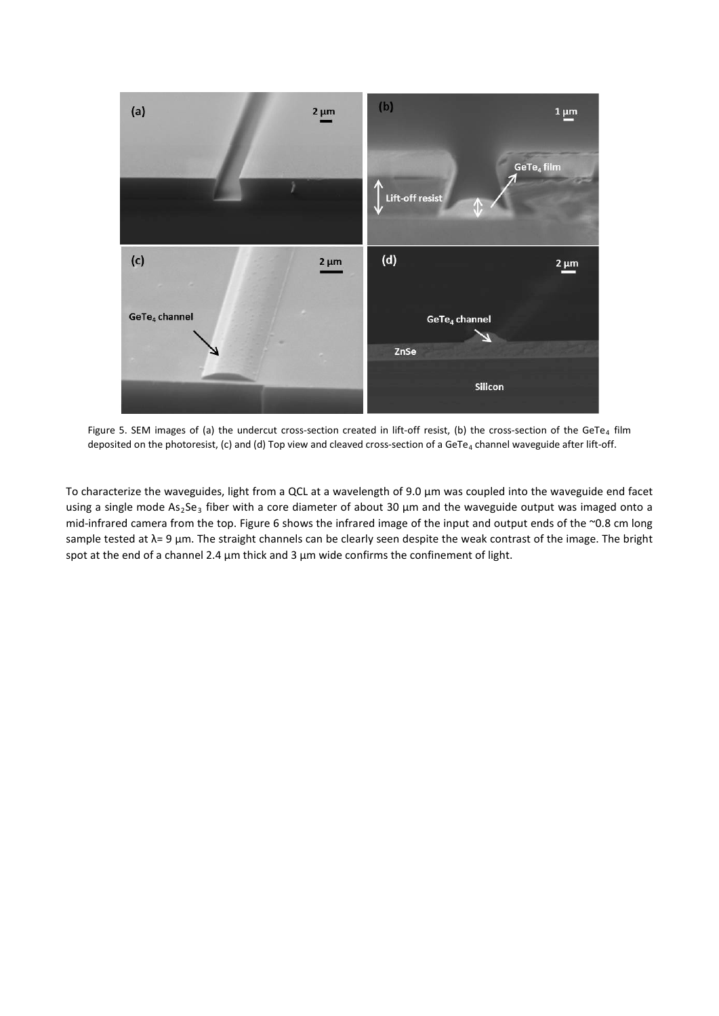

Figure 5. SEM images of (a) the undercut cross-section created in lift-off resist, (b) the cross-section of the GeTe<sub>4</sub> film deposited on the photoresist, (c) and (d) Top view and cleaved cross-section of a GeTe<sub>4</sub> channel waveguide after lift-off.

To characterize the waveguides, light from a QCL at a wavelength of 9.0 µm was coupled into the waveguide end facet using a single mode  $As_2Se_3$  fiber with a core diameter of about 30  $\mu$ m and the waveguide output was imaged onto a mid-infrared camera from the top. Figure 6 shows the infrared image of the input and output ends of the ~0.8 cm long sample tested at λ= 9 µm. The straight channels can be clearly seen despite the weak contrast of the image. The bright spot at the end of a channel 2.4  $\mu$ m thick and 3  $\mu$ m wide confirms the confinement of light.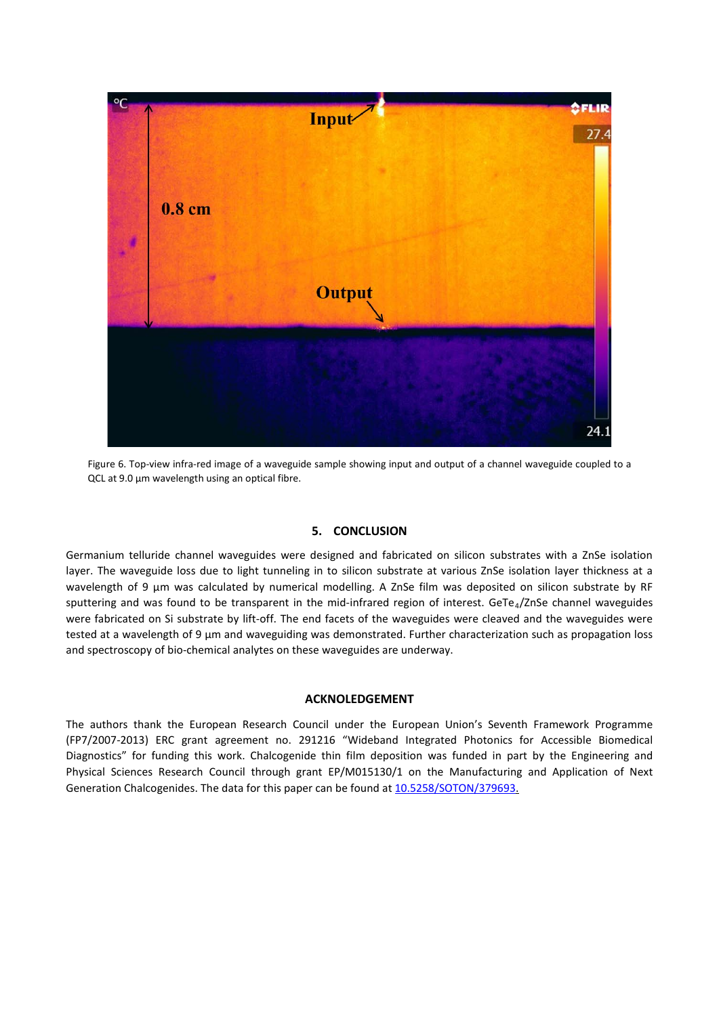

Figure 6. Top-view infra-red image of a waveguide sample showing input and output of a channel waveguide coupled to a QCL at 9.0 µm wavelength using an optical fibre.

## **5. CONCLUSION**

Germanium telluride channel waveguides were designed and fabricated on silicon substrates with a ZnSe isolation layer. The waveguide loss due to light tunneling in to silicon substrate at various ZnSe isolation layer thickness at a wavelength of 9 µm was calculated by numerical modelling. A ZnSe film was deposited on silicon substrate by RF sputtering and was found to be transparent in the mid-infrared region of interest. GeTe<sub>4</sub>/ZnSe channel waveguides were fabricated on Si substrate by lift-off. The end facets of the waveguides were cleaved and the waveguides were tested at a wavelength of 9 µm and waveguiding was demonstrated. Further characterization such as propagation loss and spectroscopy of bio-chemical analytes on these waveguides are underway.

## **ACKNOLEDGEMENT**

The authors thank the European Research Council under the European Union's Seventh Framework Programme (FP7/2007-2013) ERC grant agreement no. 291216 "Wideband Integrated Photonics for Accessible Biomedical Diagnostics" for funding this work. Chalcogenide thin film deposition was funded in part by the Engineering and Physical Sciences Research Council through grant EP/M015130/1 on the Manufacturing and Application of Next Generation Chalcogenides. The data for this paper can be found at [10.5258/SOTON/379693.](http://dx.doi.org/10.5258/SOTON/379693)